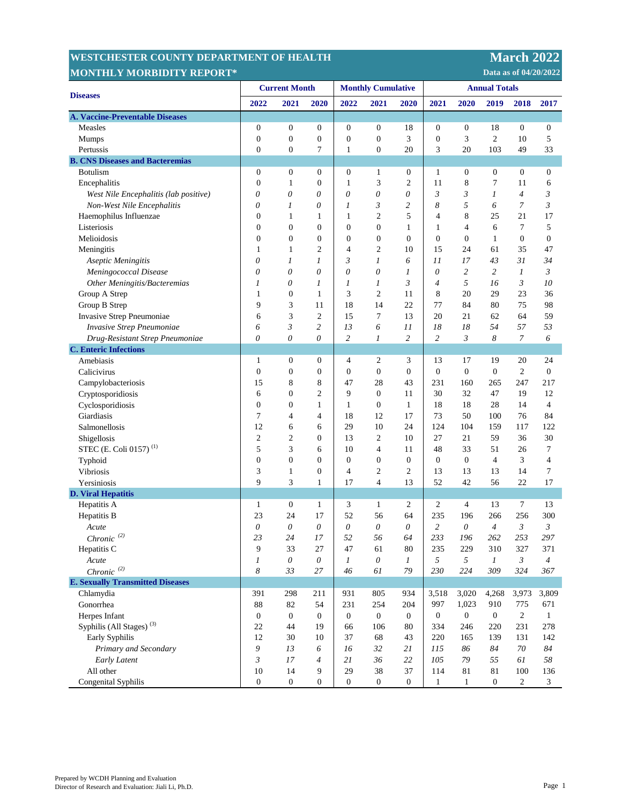## **MESTCHESTER COUNTY DEPARTMENT OF HEALTH MARKING MARKING MARKING MARKING MARKING MARKING MARKING MARKING MARKING MONTHLY MORBIDITY REPORT\***

 **Data as of 04/20/2022** 

| <b>Diseases</b>                         | <b>Current Month</b> |                  |                  | <b>Monthly Cumulative</b> |                  |                | <b>Annual Totals</b> |                  |                  |                  |                  |
|-----------------------------------------|----------------------|------------------|------------------|---------------------------|------------------|----------------|----------------------|------------------|------------------|------------------|------------------|
|                                         | 2022                 | 2021             | 2020             | 2022                      | 2021             | 2020           | 2021                 | 2020             | 2019             | 2018             | 2017             |
| <b>A. Vaccine-Preventable Diseases</b>  |                      |                  |                  |                           |                  |                |                      |                  |                  |                  |                  |
| Measles                                 | $\boldsymbol{0}$     | $\boldsymbol{0}$ | $\boldsymbol{0}$ | $\boldsymbol{0}$          | $\boldsymbol{0}$ | 18             | $\boldsymbol{0}$     | $\boldsymbol{0}$ | 18               | $\mathbf{0}$     | $\mathbf{0}$     |
| <b>Mumps</b>                            | $\boldsymbol{0}$     | $\overline{0}$   | $\boldsymbol{0}$ | $\boldsymbol{0}$          | $\boldsymbol{0}$ | 3              | $\boldsymbol{0}$     | 3                | $\mathbf{2}$     | 10               | 5                |
| Pertussis                               | $\overline{0}$       | $\boldsymbol{0}$ | 7                | $\mathbf{1}$              | $\boldsymbol{0}$ | 20             | 3                    | 20               | 103              | 49               | 33               |
| <b>B. CNS Diseases and Bacteremias</b>  |                      |                  |                  |                           |                  |                |                      |                  |                  |                  |                  |
| <b>Botulism</b>                         | $\boldsymbol{0}$     | $\boldsymbol{0}$ | $\boldsymbol{0}$ | $\boldsymbol{0}$          | $\mathbf{1}$     | $\mathbf{0}$   | 1                    | $\boldsymbol{0}$ | $\boldsymbol{0}$ | $\mathbf{0}$     | $\mathbf{0}$     |
| Encephalitis                            | $\boldsymbol{0}$     | $\mathbf{1}$     | $\boldsymbol{0}$ | $\mathbf{1}$              | 3                | $\overline{2}$ | 11                   | 8                | $\tau$           | 11               | 6                |
| West Nile Encephalitis (lab positive)   | 0                    | 0                | 0                | 0                         | 0                | 0              | 3                    | 3                | 1                | $\overline{4}$   | 3                |
| Non-West Nile Encephalitis              | $\theta$             | 1                | 0                | 1                         | 3                | $\overline{c}$ | 8                    | 5                | 6                | $\overline{7}$   | 3                |
| Haemophilus Influenzae                  | $\boldsymbol{0}$     | $\mathbf{1}$     | 1                | $\mathbf{1}$              | $\overline{2}$   | 5              | 4                    | 8                | 25               | 21               | 17               |
| Listeriosis                             | $\overline{0}$       | $\overline{0}$   | $\mathbf{0}$     | $\boldsymbol{0}$          | $\mathbf{0}$     | 1              | 1                    | $\overline{4}$   | 6                | 7                | 5                |
| Melioidosis                             | $\boldsymbol{0}$     | $\boldsymbol{0}$ | 0                | $\boldsymbol{0}$          | $\boldsymbol{0}$ | $\overline{0}$ | $\boldsymbol{0}$     | $\boldsymbol{0}$ | $\mathbf{1}$     | $\boldsymbol{0}$ | $\boldsymbol{0}$ |
| Meningitis                              | 1                    | $\mathbf{1}$     | $\overline{c}$   | 4                         | $\mathfrak{2}$   | 10             | 15                   | 24               | 61               | 35               | 47               |
| Aseptic Meningitis                      | 0                    | 1                | 1                | 3                         | 1                | 6              | 11                   | 17               | 43               | 31               | 34               |
| Meningococcal Disease                   | $\theta$             | 0                | 0                | 0                         | 0                | 1              | $\theta$             | 2                | $\overline{c}$   | $\boldsymbol{l}$ | $\mathfrak{Z}$   |
| Other Meningitis/Bacteremias            | 1                    | 0                | 1                | 1                         | 1                | 3              | $\overline{4}$       | 5                | 16               | 3                | 10               |
| Group A Strep                           | 1                    | $\overline{0}$   | 1                | 3                         | $\mathfrak{2}$   | 11             | 8                    | 20               | 29               | 23               | 36               |
| Group B Strep                           | 9                    | 3                | 11               | 18                        | 14               | 22             | 77                   | 84               | 80               | 75               | 98               |
| Invasive Strep Pneumoniae               | 6                    | 3                | 2                | 15                        | $\overline{7}$   | 13             | 20                   | 21               | 62               | 64               | 59               |
| Invasive Strep Pneumoniae               | 6                    | 3                | $\overline{c}$   | 13                        | 6                | 11             | 18                   | 18               | 54               | 57               | 53               |
| Drug-Resistant Strep Pneumoniae         | $\theta$             | 0                | 0                | $\overline{c}$            | 1                | $\overline{c}$ | $\overline{c}$       | 3                | 8                | $\overline{7}$   | 6                |
| <b>C.</b> Enteric Infections            |                      |                  |                  |                           |                  |                |                      |                  |                  |                  |                  |
| Amebiasis                               | 1                    | $\boldsymbol{0}$ | $\boldsymbol{0}$ | 4                         | $\overline{c}$   | 3              | 13                   | 17               | 19               | 20               | 24               |
| Calicivirus                             | $\boldsymbol{0}$     | $\boldsymbol{0}$ | $\boldsymbol{0}$ | $\boldsymbol{0}$          | $\mathbf{0}$     | $\overline{0}$ | $\boldsymbol{0}$     | $\mathbf{0}$     | $\boldsymbol{0}$ | $\overline{c}$   | $\boldsymbol{0}$ |
| Campylobacteriosis                      | 15                   | 8                | 8                | 47                        | 28               | 43             | 231                  | 160              | 265              | 247              | 217              |
| Cryptosporidiosis                       | 6                    | $\boldsymbol{0}$ | 2                | 9                         | $\boldsymbol{0}$ | 11             | 30                   | 32               | 47               | 19               | 12               |
| Cyclosporidiosis                        | $\boldsymbol{0}$     | $\overline{0}$   | 1                | $\mathbf{1}$              | $\boldsymbol{0}$ | $\mathbf{1}$   | 18                   | 18               | 28               | 14               | $\overline{4}$   |
| Giardiasis                              | 7                    | $\overline{4}$   | 4                | 18                        | 12               | 17             | 73                   | 50               | 100              | 76               | 84               |
| Salmonellosis                           | 12                   | 6                | 6                | 29                        | 10               | 24             | 124                  | 104              | 159              | 117              | 122              |
| Shigellosis                             | $\mathfrak{2}$       | $\overline{2}$   | 0                | 13                        | $\mathfrak{2}$   | 10             | 27                   | 21               | 59               | 36               | 30               |
| STEC (E. Coli 0157) <sup>(1)</sup>      | 5                    | 3                | 6                | 10                        | $\overline{4}$   | 11             | 48                   | 33               | 51               | 26               | $\tau$           |
| Typhoid                                 | $\overline{0}$       | $\boldsymbol{0}$ | $\boldsymbol{0}$ | $\boldsymbol{0}$          | $\boldsymbol{0}$ | $\mathbf{0}$   | $\boldsymbol{0}$     | $\boldsymbol{0}$ | $\overline{4}$   | 3                | 4                |
| Vibriosis                               | 3                    | $\mathbf{1}$     | 0                | 4                         | $\mathfrak{2}$   | $\overline{2}$ | 13                   | 13               | 13               | 14               | 7                |
| Yersiniosis                             | 9                    | 3                | 1                | 17                        | $\overline{4}$   | 13             | 52                   | 42               | 56               | 22               | 17               |
| <b>D. Viral Hepatitis</b>               |                      |                  |                  |                           |                  |                |                      |                  |                  |                  |                  |
| Hepatitis A                             | $\mathbf{1}$         | $\boldsymbol{0}$ | 1                | 3                         | $\mathbf{1}$     | 2              | 2                    | $\overline{4}$   | 13               | $7\phantom{.0}$  | 13               |
| Hepatitis B                             | 23                   | 24               | 17               | 52                        | 56               | 64             | 235                  | 196              | 266              | 256              | 300              |
| Acute                                   | $\theta$             | $\theta$         | $\theta$         | 0                         | $\theta$         | 0              | $\overline{c}$       | 0                | 4                | 3                | 3                |
| $Chronic\ ^{(2)}$                       | 23                   | 24               | 17               | 52                        | 56               | 64             | 233                  | 196              | 262              | 253              | 297              |
| Hepatitis C                             | 9                    | 33               | 27               | 47                        | 61               | 80             | 235                  | 229              | 310              | 327              | 371              |
| Acute                                   | $\boldsymbol{l}$     | $\theta$         | 0                | $\boldsymbol{l}$          | $\theta$         | $\mathfrak{1}$ | 5                    | 5                | $\boldsymbol{l}$ | $\mathfrak{Z}$   | $\overline{4}$   |
| $Chronic^{(2)}$                         | 8                    | 33               | 27               | 46                        | 61               | 79             | 230                  | 224              | 309              | 324              | 367              |
| <b>E. Sexually Transmitted Diseases</b> |                      |                  |                  |                           |                  |                |                      |                  |                  |                  |                  |
| Chlamydia                               | 391                  | 298              | 211              | 931                       | 805              | 934            | 3,518                | 3,020            | 4,268            | 3,973            | 3,809            |
| Gonorrhea                               | 88                   | 82               | 54               | 231                       | 254              | 204            | 997                  | 1,023            | 910              | 775              | 671              |
| Herpes Infant                           | $\boldsymbol{0}$     | $\mathbf{0}$     | $\boldsymbol{0}$ | $\boldsymbol{0}$          | $\overline{0}$   | $\overline{0}$ | $\boldsymbol{0}$     | $\boldsymbol{0}$ | $\overline{0}$   | $\overline{2}$   | $\mathbf{1}$     |
| Syphilis (All Stages) <sup>(3)</sup>    | 22                   | 44               | 19               | 66                        | 106              | 80             | 334                  | 246              | 220              | 231              | 278              |
| Early Syphilis                          | 12                   | 30               | 10               | 37                        | 68               | 43             | 220                  | 165              | 139              | 131              | 142              |
| Primary and Secondary                   | 9                    | 13               | 6                | 16                        | 32               | 21             | 115                  | 86               | 84               | 70               | 84               |
| Early Latent                            | 3                    | 17               | $\overline{4}$   | 21                        | 36               | 22             | 105                  | 79               | 55               | 61               | 58               |
| All other                               | 10                   | 14               | 9                | 29                        | 38               | 37             | 114                  | 81               | 81               | 100              | 136              |
| Congenital Syphilis                     | $\boldsymbol{0}$     | $\mathbf{0}$     | $\boldsymbol{0}$ | $\mathbf{0}$              | $\mathbf{0}$     | $\mathbf{0}$   | $\mathbf{1}$         | $\mathbf{1}$     | $\boldsymbol{0}$ | $\overline{c}$   | 3                |